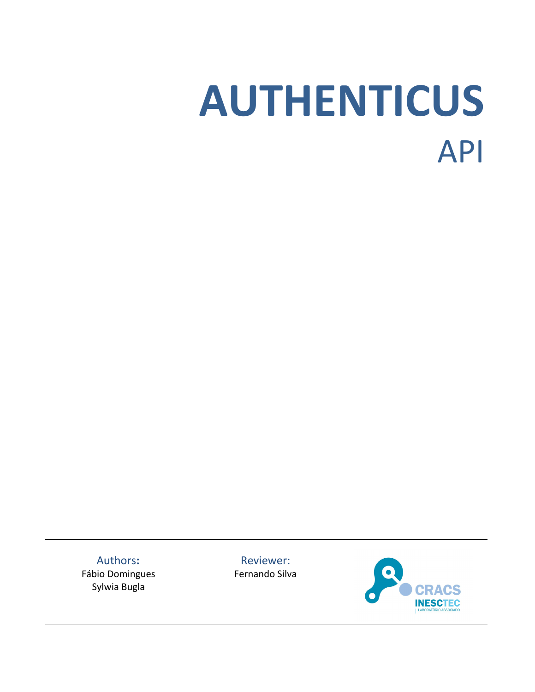# **AUTHENTICUS** API

Authors**:** Fábio Domingues Sylwia Bugla

Reviewer: Fernando Silva

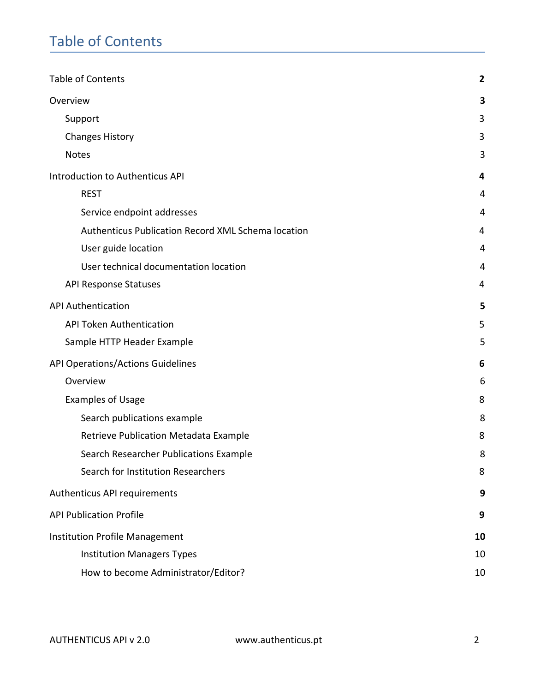<span id="page-1-0"></span>

| <b>Table of Contents</b>                           | $\overline{2}$ |
|----------------------------------------------------|----------------|
| Overview                                           | 3              |
| Support                                            | 3              |
| <b>Changes History</b>                             | 3              |
| <b>Notes</b>                                       | 3              |
| Introduction to Authenticus API                    | 4              |
| <b>REST</b>                                        | 4              |
| Service endpoint addresses                         | 4              |
| Authenticus Publication Record XML Schema location | 4              |
| User guide location                                | 4              |
| User technical documentation location              | 4              |
| <b>API Response Statuses</b>                       | 4              |
| <b>API Authentication</b>                          | 5              |
| <b>API Token Authentication</b>                    | 5              |
| Sample HTTP Header Example                         | 5              |
| API Operations/Actions Guidelines                  |                |
| Overview                                           | 6              |
| <b>Examples of Usage</b>                           | 8              |
| Search publications example                        | 8              |
| Retrieve Publication Metadata Example              | 8              |
| Search Researcher Publications Example             | 8              |
| Search for Institution Researchers                 | 8              |
| Authenticus API requirements                       | 9              |
| <b>API Publication Profile</b>                     | 9              |
| Institution Profile Management                     |                |
| <b>Institution Managers Types</b>                  | 10             |
| How to become Administrator/Editor?                | 10             |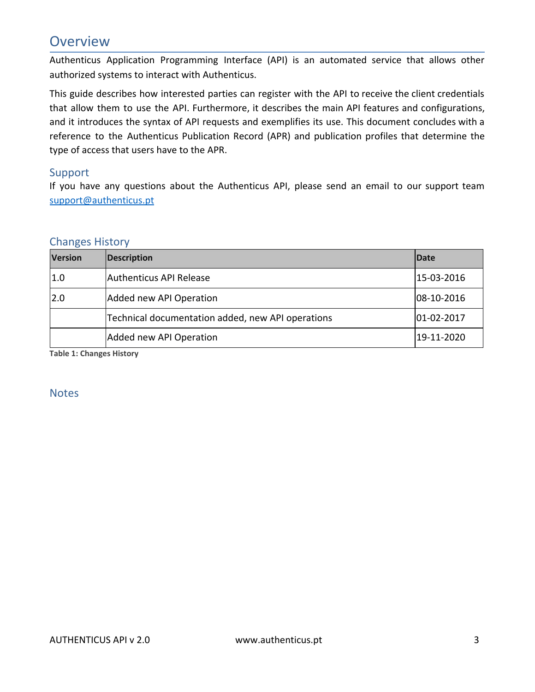# <span id="page-2-0"></span>**Overview**

Authenticus Application Programming Interface (API) is an automated service that allows other authorized systems to interact with Authenticus.

This guide describes how interested parties can register with the API to receive the client credentials that allow them to use the API. Furthermore, it describes the main API features and configurations, and it introduces the syntax of API requests and exemplifies its use. This document concludes with a reference to the Authenticus Publication Record (APR) and publication profiles that determine the type of access that users have to the APR.

# <span id="page-2-1"></span>Support

If you have any questions about the Authenticus API, please send an email to our support team [support@authenticus.pt](mailto:support@authenticus.up.pt)

# <span id="page-2-2"></span>Changes History

| <b>Version</b> | <b>Description</b>                                | Date               |
|----------------|---------------------------------------------------|--------------------|
| 1.0            | Authenticus API Release                           | 15-03-2016         |
| 2.0            | Added new API Operation                           | $ 08 - 10 - 2016 $ |
|                | Technical documentation added, new API operations | $ 01 - 02 - 2017$  |
|                | Added new API Operation                           | 19-11-2020         |

**Table 1: Changes History**

# <span id="page-2-3"></span>**Notes**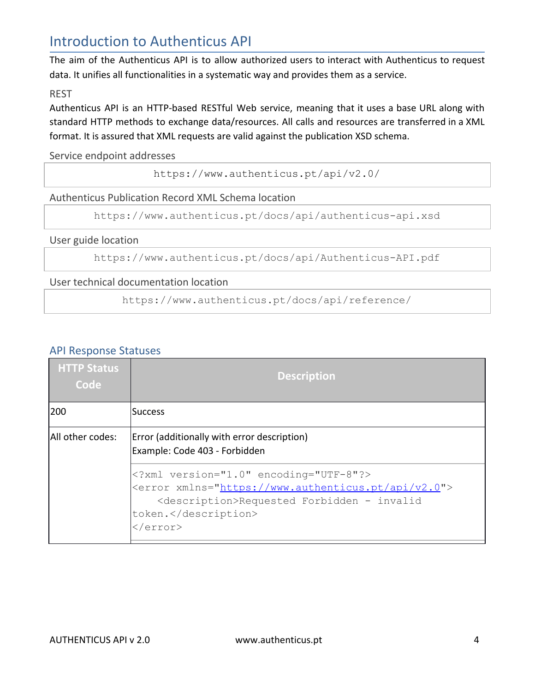# <span id="page-3-0"></span>Introduction to Authenticus API

The aim of the Authenticus API is to allow authorized users to interact with Authenticus to request data. It unifies all functionalities in a systematic way and provides them as a service.

## <span id="page-3-1"></span>REST

Authenticus API is an HTTP-based RESTful Web service, meaning that it uses a base URL along with standard HTTP methods to exchange data/resources. All calls and resources are transferred in a XML format. It is assured that XML requests are valid against the publication XSD schema.

<span id="page-3-2"></span>Service endpoint addresses

https://www.authenticus.pt/api/v2.0/

<span id="page-3-3"></span>Authenticus Publication Record XML Schema location

https://www.authenticus.pt/docs/api/authenticus-api.xsd

<span id="page-3-4"></span>User guide location

https://www.authenticus.pt/docs/api/Authenticus-API.pdf

<span id="page-3-5"></span>User technical documentation location

https://www.authenticus.pt/docs/api/reference/

# <span id="page-3-6"></span>API Response Statuses

| <b>HTTP Status</b><br>Code | <b>Description</b>                                                                                                                                                              |
|----------------------------|---------------------------------------------------------------------------------------------------------------------------------------------------------------------------------|
| 200                        | <b>Success</b>                                                                                                                                                                  |
| All other codes:           | Error (additionally with error description)<br>Example: Code 403 - Forbidden                                                                                                    |
|                            | xml version="1.0" encoding="UTF-8"?<br><error xmlns="https://www.authenticus.pt/api/v2.0"><br/><description>Requested Forbidden - invalid<br/>token.</description><br/></error> |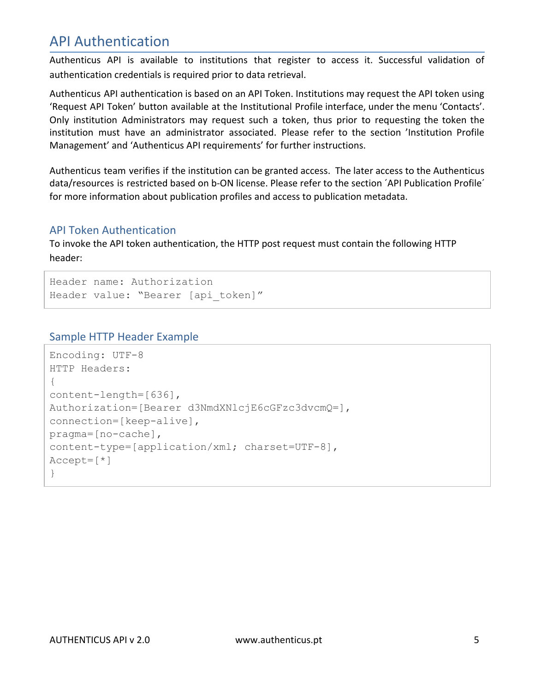# <span id="page-4-0"></span>API Authentication

Authenticus API is available to institutions that register to access it. Successful validation of authentication credentials is required prior to data retrieval.

Authenticus API authentication is based on an API Token. Institutions may request the API token using 'Request API Token' button available at the Institutional Profile interface, under the menu 'Contacts'. Only institution Administrators may request such a token, thus prior to requesting the token the institution must have an administrator associated. Please refer to the section 'Institution Profile Management' and 'Authenticus API requirements' for further instructions.

Authenticus team verifies if the institution can be granted access. The later access to the Authenticus data/resources is restricted based on b-ON license. Please refer to the section ´API Publication Profile´ for more information about publication profiles and access to publication metadata.

# <span id="page-4-1"></span>API Token Authentication

To invoke the API token authentication, the HTTP post request must contain the following HTTP header:

```
Header name: Authorization
Header value: "Bearer [api token]"
```
# <span id="page-4-2"></span>Sample HTTP Header Example

```
Encoding: UTF-8
HTTP Headers:
{
content-length=[636],
Authorization=[Bearer d3NmdXNlcjE6cGFzc3dvcmQ=],
connection=[keep-alive],
pragma=[no-cache],
content-type=[application/xml; charset=UTF-8],
Accept=[*]
}
```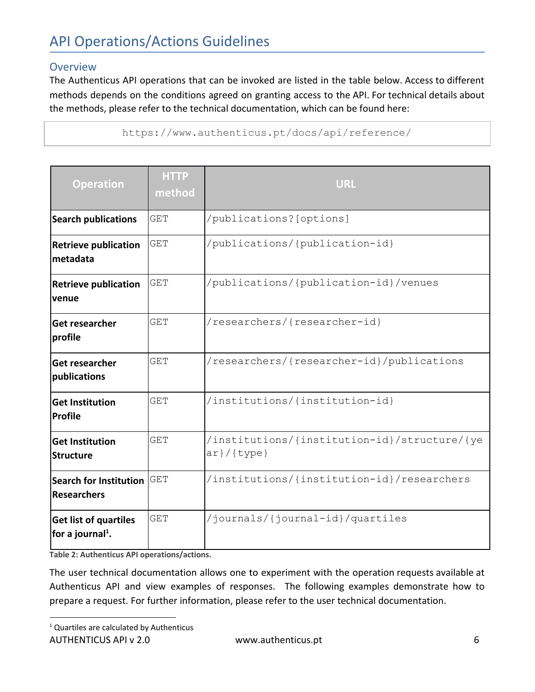# <span id="page-5-0"></span>API Operations/Actions Guidelines

# <span id="page-5-1"></span>**Overview**

The Authenticus API operations that can be invoked are listed in the table below. Access to different methods depends on the conditions agreed on granting access to the API. For technical details about the methods, please refer to the technical documentation, which can be found here:

https://www.authenticus.pt/docs/api/reference/

| <b>Operation</b>                                             | <b>HTTP</b><br>method | <b>URL</b>                                                    |
|--------------------------------------------------------------|-----------------------|---------------------------------------------------------------|
| <b>Search publications</b>                                   | <b>GET</b>            | /publications? [options]                                      |
| <b>Retrieve publication</b><br><b>Imetadata</b>              | GET                   | /publications/{publication-id}                                |
| <b>Retrieve publication</b><br>venue                         | GET                   | /publications/{publication-id}/venues                         |
| <b>Get researcher</b><br>profile                             | <b>GET</b>            | /researchers/{researcher-id}                                  |
| <b>Get researcher</b><br>publications                        | <b>GET</b>            | /researchers/{researcher-id}/publications                     |
| <b>Get Institution</b><br>Profile                            | <b>GET</b>            | /institutions/{institution-id}                                |
| <b>Get Institution</b><br><b>Structure</b>                   | <b>GET</b>            | /institutions/{institution-id}/structure/{ye<br>$ar$ / {type} |
| <b>Search for Institution</b><br>Researchers                 | <b>GET</b>            | /institutions/{institution-id}/researchers                    |
| <b>Get list of quartiles</b><br>for a journal <sup>1</sup> . | <b>GET</b>            | /journals/{journal-id}/quartiles                              |

**Table 2: Authenticus API operations/actions.**

The user technical documentation allows one to experiment with the operation requests available at Authenticus API and view examples of responses. The following examples demonstrate how to prepare a request. For further information, please refer to the user technical documentation.

 $1$  Quartiles are calculated by Authenticus

AUTHENTICUS API v 2.0 www.authenticus.pt 6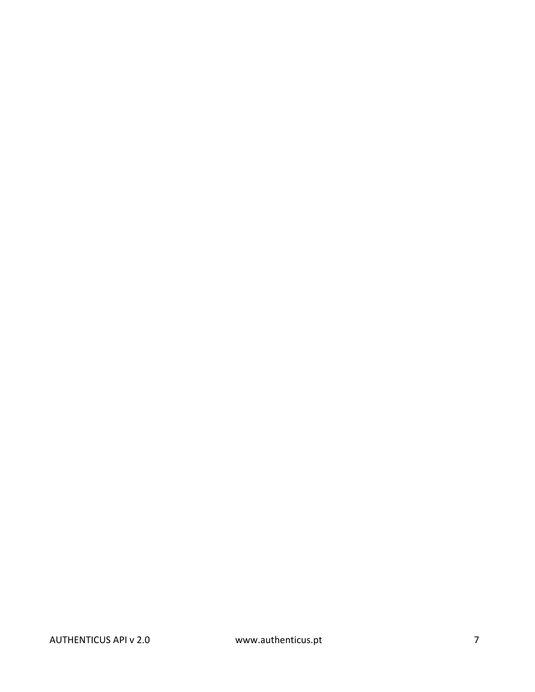AUTHENTICUS API v 2.0 www.authenticus.pt 7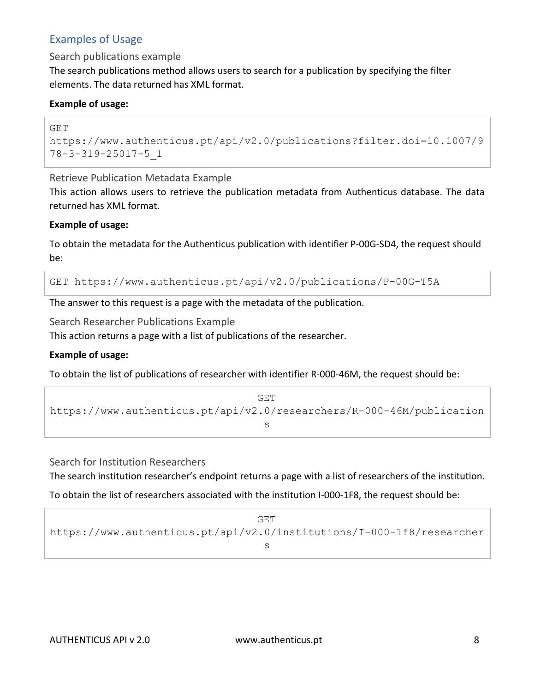# <span id="page-7-0"></span>Examples of Usage

## <span id="page-7-1"></span>Search publications example

The search publications method allows users to search for a publication by specifying the filter elements. The data returned has XML format.

#### **Example of usage:**

```
GET
https://www.authenticus.pt/api/v2.0/publications?filter.doi=10.1007/9
78-3-319-25017-5_1
```
<span id="page-7-2"></span>Retrieve Publication Metadata Example

This action allows users to retrieve the publication metadata from Authenticus database. The data returned has XML format.

## **Example of usage:**

To obtain the metadata for the Authenticus publication with identifier P-00G-SD4, the request should be:

GET https://www.authenticus.pt/api/v2.0/publications/P-00G-T5A

The answer to this request is a page with the metadata of the publication.

<span id="page-7-3"></span>Search Researcher Publications Example

This action returns a page with a list of publications of the researcher.

#### **Example of usage:**

To obtain the list of publications of researcher with identifier R-000-46M, the request should be:

```
GET
https://www.authenticus.pt/api/v2.0/researchers/R-000-46M/publication
                                  s
```
<span id="page-7-4"></span>Search for Institution Researchers

The search institution researcher's endpoint returns a page with a list of researchers of the institution.

To obtain the list of researchers associated with the institution I-000-1F8, the request should be:

```
GET
https://www.authenticus.pt/api/v2.0/institutions/I-000-1f8/researcher
                                  s
```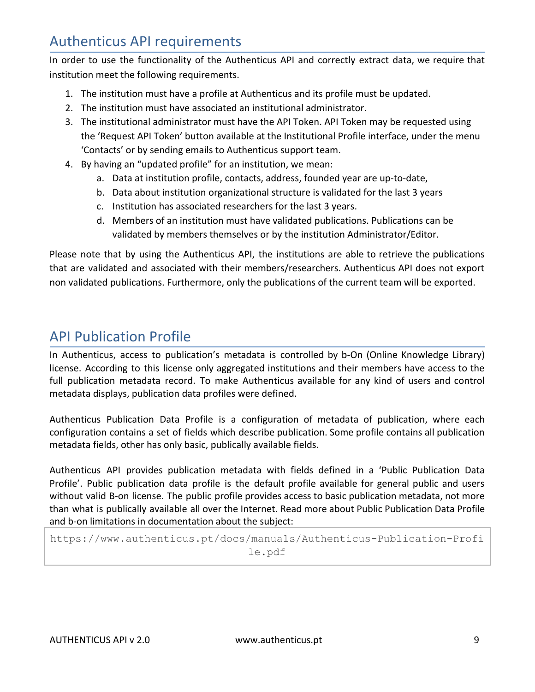# <span id="page-8-0"></span>Authenticus API requirements

In order to use the functionality of the Authenticus API and correctly extract data, we require that institution meet the following requirements.

- 1. The institution must have a profile at Authenticus and its profile must be updated.
- 2. The institution must have associated an institutional administrator.
- 3. The institutional administrator must have the API Token. API Token may be requested using the 'Request API Token' button available at the Institutional Profile interface, under the menu 'Contacts' or by sending emails to Authenticus support team.
- 4. By having an "updated profile" for an institution, we mean:
	- a. Data at institution profile, contacts, address, founded year are up-to-date,
	- b. Data about institution organizational structure is validated for the last 3 years
	- c. Institution has associated researchers for the last 3 years.
	- d. Members of an institution must have validated publications. Publications can be validated by members themselves or by the institution Administrator/Editor.

Please note that by using the Authenticus API, the institutions are able to retrieve the publications that are validated and associated with their members/researchers. Authenticus API does not export non validated publications. Furthermore, only the publications of the current team will be exported.

# <span id="page-8-1"></span>API Publication Profile

In Authenticus, access to publication's metadata is controlled by b-On (Online Knowledge Library) license. According to this license only aggregated institutions and their members have access to the full publication metadata record. To make Authenticus available for any kind of users and control metadata displays, publication data profiles were defined.

Authenticus Publication Data Profile is a configuration of metadata of publication, where each configuration contains a set of fields which describe publication. Some profile contains all publication metadata fields, other has only basic, publically available fields.

Authenticus API provides publication metadata with fields defined in a 'Public Publication Data Profile'. Public publication data profile is the default profile available for general public and users without valid B-on license. The public profile provides access to basic publication metadata, not more than what is publically available all over the Internet. Read more about Public Publication Data Profile and b-on limitations in documentation about the subject:

```
https://www.authenticus.pt/docs/manuals/Authenticus-Publication-Profi
                               le.pdf
```